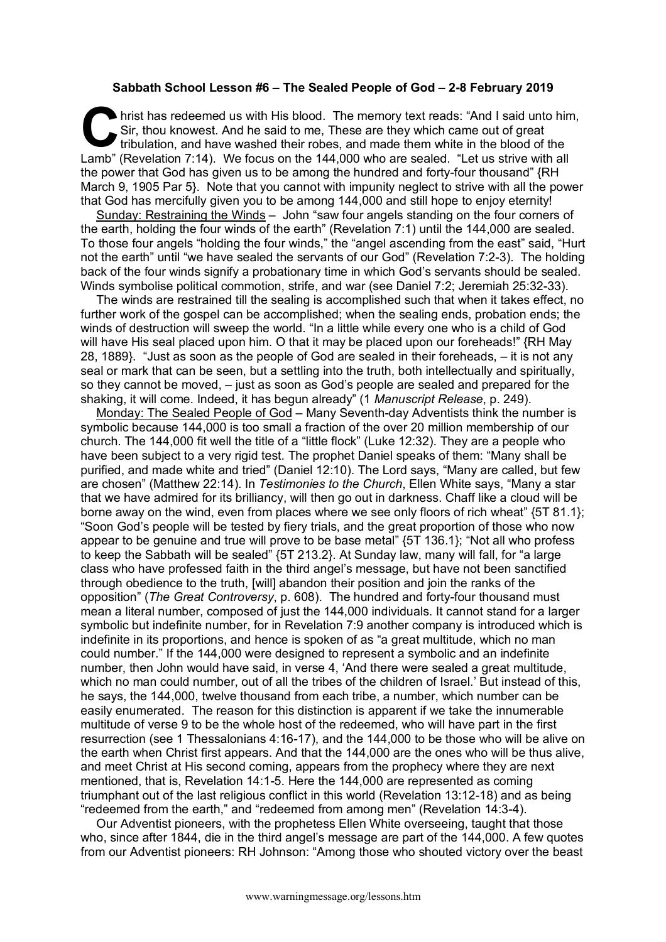## **Sabbath School Lesson #6 – The Sealed People of God – 2-8 February 2019**

hrist has redeemed us with His blood. The memory text reads: "And I said unto him, Sir, thou knowest. And he said to me, These are they which came out of great tribulation, and have washed their robes, and made them white Sir, thou knowest. And he said to me, These are they which came out of great tribulation, and have washed their robes, and made them white in the blood of the Lamb" (Revelation 7:14). We focus on the 144,000 who are sealed. "Let us strive with all the power that God has given us to be among the hundred and forty-four thousand" {RH March 9, 1905 Par 5}. Note that you cannot with impunity neglect to strive with all the power that God has mercifully given you to be among 144,000 and still hope to enjoy eternity!

Sunday: Restraining the Winds – John "saw four angels standing on the four corners of the earth, holding the four winds of the earth" (Revelation 7:1) until the 144,000 are sealed. To those four angels "holding the four winds," the "angel ascending from the east" said, "Hurt not the earth" until "we have sealed the servants of our God" (Revelation 7:2-3). The holding back of the four winds signify a probationary time in which God's servants should be sealed. Winds symbolise political commotion, strife, and war (see Daniel 7:2; Jeremiah 25:32-33).

The winds are restrained till the sealing is accomplished such that when it takes effect, no further work of the gospel can be accomplished; when the sealing ends, probation ends; the winds of destruction will sweep the world. "In a little while every one who is a child of God will have His seal placed upon him. O that it may be placed upon our foreheads!" {RH May 28, 1889}. "Just as soon as the people of God are sealed in their foreheads, – it is not any seal or mark that can be seen, but a settling into the truth, both intellectually and spiritually, so they cannot be moved, – just as soon as God's people are sealed and prepared for the shaking, it will come. Indeed, it has begun already" (1 *Manuscript Release*, p. 249).

Monday: The Sealed People of God – Many Seventh-day Adventists think the number is symbolic because 144,000 is too small a fraction of the over 20 million membership of our church. The 144,000 fit well the title of a "little flock" (Luke 12:32). They are a people who have been subject to a very rigid test. The prophet Daniel speaks of them: "Many shall be purified, and made white and tried" (Daniel 12:10). The Lord says, "Many are called, but few are chosen" (Matthew 22:14). In *Testimonies to the Church*, Ellen White says, "Many a star that we have admired for its brilliancy, will then go out in darkness. Chaff like a cloud will be borne away on the wind, even from places where we see only floors of rich wheat" {5T 81.1}; "Soon God's people will be tested by fiery trials, and the great proportion of those who now appear to be genuine and true will prove to be base metal" {5T 136.1}; "Not all who profess to keep the Sabbath will be sealed" {5T 213.2}. At Sunday law, many will fall, for "a large class who have professed faith in the third angel's message, but have not been sanctified through obedience to the truth, [will] abandon their position and join the ranks of the opposition" (*The Great Controversy*, p. 608). The hundred and forty-four thousand must mean a literal number, composed of just the 144,000 individuals. It cannot stand for a larger symbolic but indefinite number, for in Revelation 7:9 another company is introduced which is indefinite in its proportions, and hence is spoken of as "a great multitude, which no man could number." If the 144,000 were designed to represent a symbolic and an indefinite number, then John would have said, in verse 4, 'And there were sealed a great multitude, which no man could number, out of all the tribes of the children of Israel.' But instead of this, he says, the 144,000, twelve thousand from each tribe, a number, which number can be easily enumerated. The reason for this distinction is apparent if we take the innumerable multitude of verse 9 to be the whole host of the redeemed, who will have part in the first resurrection (see 1 Thessalonians 4:16-17), and the 144,000 to be those who will be alive on the earth when Christ first appears. And that the 144,000 are the ones who will be thus alive, and meet Christ at His second coming, appears from the prophecy where they are next mentioned, that is, Revelation 14:1-5. Here the 144,000 are represented as coming triumphant out of the last religious conflict in this world (Revelation 13:12-18) and as being "redeemed from the earth," and "redeemed from among men" (Revelation 14:3-4).

Our Adventist pioneers, with the prophetess Ellen White overseeing, taught that those who, since after 1844, die in the third angel's message are part of the 144,000. A few quotes from our Adventist pioneers: RH Johnson: "Among those who shouted victory over the beast